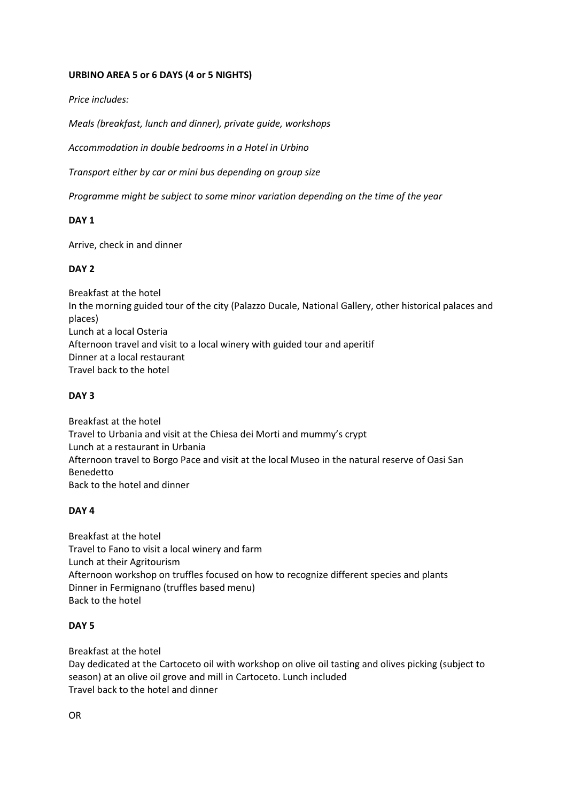### **URBINO AREA 5 or 6 DAYS (4 or 5 NIGHTS)**

*Price includes:*

*Meals (breakfast, lunch and dinner), private guide, workshops* 

*Accommodation in double bedrooms in a Hotel in Urbino* 

*Transport either by car or mini bus depending on group size*

*Programme might be subject to some minor variation depending on the time of the year*

## **DAY 1**

Arrive, check in and dinner

### **DAY 2**

Breakfast at the hotel In the morning guided tour of the city (Palazzo Ducale, National Gallery, other historical palaces and places) Lunch at a local Osteria Afternoon travel and visit to a local winery with guided tour and aperitif Dinner at a local restaurant Travel back to the hotel

#### **DAY 3**

Breakfast at the hotel Travel to Urbania and visit at the Chiesa dei Morti and mummy's crypt Lunch at a restaurant in Urbania Afternoon travel to Borgo Pace and visit at the local Museo in the natural reserve of Oasi San Benedetto Back to the hotel and dinner

#### **DAY 4**

Breakfast at the hotel Travel to Fano to visit a local winery and farm Lunch at their Agritourism Afternoon workshop on truffles focused on how to recognize different species and plants Dinner in Fermignano (truffles based menu) Back to the hotel

## **DAY 5**

Breakfast at the hotel Day dedicated at the Cartoceto oil with workshop on olive oil tasting and olives picking (subject to season) at an olive oil grove and mill in Cartoceto. Lunch included Travel back to the hotel and dinner